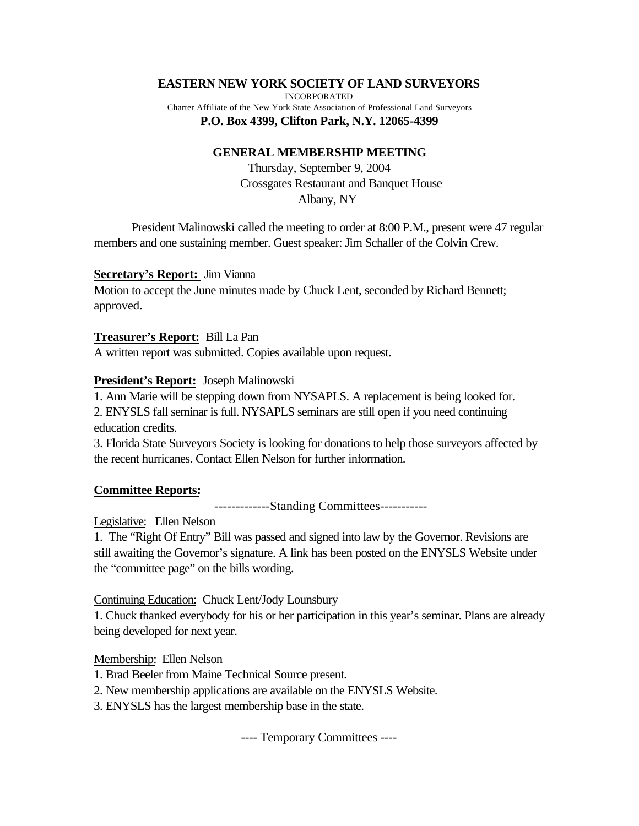## **EASTERN NEW YORK SOCIETY OF LAND SURVEYORS**

INCORPORATED Charter Affiliate of the New York State Association of Professional Land Surveyors **P.O. Box 4399, Clifton Park, N.Y. 12065-4399**

## **GENERAL MEMBERSHIP MEETING**

Thursday, September 9, 2004 Crossgates Restaurant and Banquet House Albany, NY

President Malinowski called the meeting to order at 8:00 P.M., present were 47 regular members and one sustaining member. Guest speaker: Jim Schaller of the Colvin Crew.

## **Secretary's Report:** Jim Vianna

Motion to accept the June minutes made by Chuck Lent, seconded by Richard Bennett; approved.

#### **Treasurer's Report:** Bill La Pan

A written report was submitted. Copies available upon request.

## **President's Report:** Joseph Malinowski

1. Ann Marie will be stepping down from NYSAPLS. A replacement is being looked for.

2. ENYSLS fall seminar is full. NYSAPLS seminars are still open if you need continuing education credits.

3. Florida State Surveyors Society is looking for donations to help those surveyors affected by the recent hurricanes. Contact Ellen Nelson for further information.

## **Committee Reports:**

-------------Standing Committees-----------

## Legislative: Ellen Nelson

1. The "Right Of Entry" Bill was passed and signed into law by the Governor. Revisions are still awaiting the Governor's signature. A link has been posted on the ENYSLS Website under the "committee page" on the bills wording.

Continuing Education: Chuck Lent/Jody Lounsbury

1. Chuck thanked everybody for his or her participation in this year's seminar. Plans are already being developed for next year.

## Membership: Ellen Nelson

1. Brad Beeler from Maine Technical Source present.

2. New membership applications are available on the ENYSLS Website.

3. ENYSLS has the largest membership base in the state.

---- Temporary Committees ----